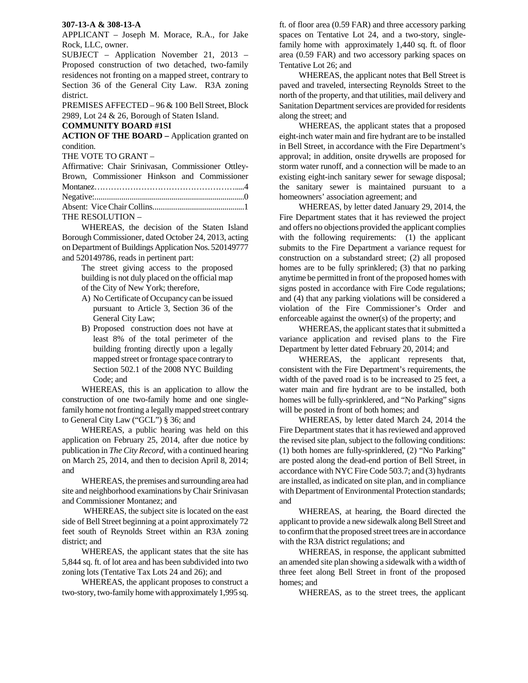## **307-13-A & 308-13-A**

APPLICANT – Joseph M. Morace, R.A., for Jake Rock, LLC, owner.

SUBJECT – Application November 21, 2013 – Proposed construction of two detached, two-family residences not fronting on a mapped street, contrary to Section 36 of the General City Law. R3A zoning district.

PREMISES AFFECTED – 96 & 100 Bell Street, Block 2989, Lot 24 & 26, Borough of Staten Island.

## **COMMUNITY BOARD #1SI**

**ACTION OF THE BOARD –** Application granted on condition.

THE VOTE TO GRANT –

| Affirmative: Chair Srinivasan, Commissioner Ottley- |  |
|-----------------------------------------------------|--|
| Brown, Commissioner Hinkson and Commissioner        |  |
|                                                     |  |
|                                                     |  |
|                                                     |  |
| THE RESOLUTION -                                    |  |

 WHEREAS, the decision of the Staten Island Borough Commissioner, dated October 24, 2013, acting on Department of Buildings Application Nos. 520149777 and 520149786, reads in pertinent part:

> The street giving access to the proposed building is not duly placed on the official map of the City of New York; therefore,

- A) No Certificate of Occupancy can be issued pursuant to Article 3, Section 36 of the General City Law;
- B) Proposed construction does not have at least 8% of the total perimeter of the building fronting directly upon a legally mapped street or frontage space contrary to Section 502.1 of the 2008 NYC Building Code; and

WHEREAS, this is an application to allow the construction of one two-family home and one singlefamily home not fronting a legally mapped street contrary to General City Law ("GCL") § 36; and

 WHEREAS, a public hearing was held on this application on February 25, 2014, after due notice by publication in *The City Record*, with a continued hearing on March 25, 2014, and then to decision April 8, 2014; and

 WHEREAS, the premises and surrounding area had site and neighborhood examinations by Chair Srinivasan and Commissioner Montanez; and

 WHEREAS, the subject site is located on the east side of Bell Street beginning at a point approximately 72 feet south of Reynolds Street within an R3A zoning district; and

 WHEREAS, the applicant states that the site has 5,844 sq. ft. of lot area and has been subdivided into two zoning lots (Tentative Tax Lots 24 and 26); and

 WHEREAS, the applicant proposes to construct a two-story, two-family home with approximately 1,995 sq.

ft. of floor area (0.59 FAR) and three accessory parking spaces on Tentative Lot 24, and a two-story, singlefamily home with approximately 1,440 sq. ft. of floor area (0.59 FAR) and two accessory parking spaces on Tentative Lot 26; and

 WHEREAS, the applicant notes that Bell Street is paved and traveled, intersecting Reynolds Street to the north of the property, and that utilities, mail delivery and Sanitation Department services are provided for residents along the street; and

 WHEREAS, the applicant states that a proposed eight-inch water main and fire hydrant are to be installed in Bell Street, in accordance with the Fire Department's approval; in addition, onsite drywells are proposed for storm water runoff, and a connection will be made to an existing eight-inch sanitary sewer for sewage disposal; the sanitary sewer is maintained pursuant to a homeowners' association agreement; and

 WHEREAS, by letter dated January 29, 2014, the Fire Department states that it has reviewed the project and offers no objections provided the applicant complies with the following requirements: (1) the applicant submits to the Fire Department a variance request for construction on a substandard street; (2) all proposed homes are to be fully sprinklered; (3) that no parking anytime be permitted in front of the proposed homes with signs posted in accordance with Fire Code regulations; and (4) that any parking violations will be considered a violation of the Fire Commissioner's Order and enforceable against the owner(s) of the property; and

 WHEREAS, the applicant states that it submitted a variance application and revised plans to the Fire Department by letter dated February 20, 2014; and

 WHEREAS, the applicant represents that, consistent with the Fire Department's requirements, the width of the paved road is to be increased to 25 feet, a water main and fire hydrant are to be installed, both homes will be fully-sprinklered, and "No Parking" signs will be posted in front of both homes; and

 WHEREAS, by letter dated March 24, 2014 the Fire Department states that it has reviewed and approved the revised site plan, subject to the following conditions: (1) both homes are fully-sprinklered, (2) "No Parking" are posted along the dead-end portion of Bell Street, in accordance with NYC Fire Code 503.7; and (3) hydrants are installed, as indicated on site plan, and in compliance with Department of Environmental Protection standards; and

 WHEREAS, at hearing, the Board directed the applicant to provide a new sidewalk along Bell Street and to confirm that the proposed street trees are in accordance with the R3A district regulations; and

 WHEREAS, in response, the applicant submitted an amended site plan showing a sidewalk with a width of three feet along Bell Street in front of the proposed homes; and

WHEREAS, as to the street trees, the applicant